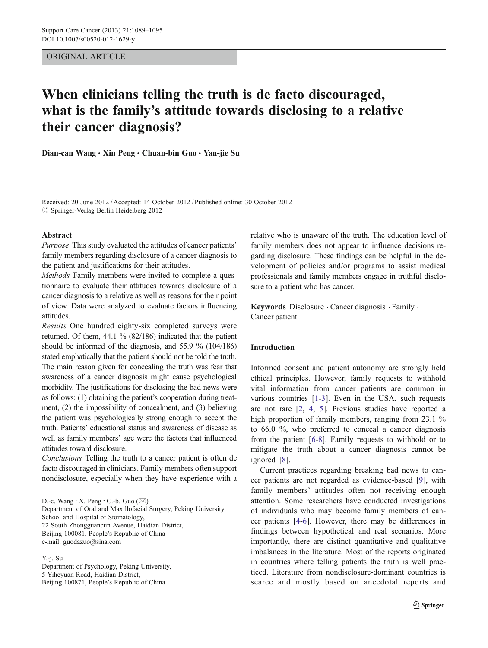# ORIGINAL ARTICLE

# When clinicians telling the truth is de facto discouraged, what is the family's attitude towards disclosing to a relative their cancer diagnosis?

Dian-can Wang · Xin Peng · Chuan-bin Guo · Yan-jie Su

Received: 20 June 2012 / Accepted: 14 October 2012 / Published online: 30 October 2012  $\oslash$  Springer-Verlag Berlin Heidelberg 2012

## Abstract

Purpose This study evaluated the attitudes of cancer patients' family members regarding disclosure of a cancer diagnosis to the patient and justifications for their attitudes.

Methods Family members were invited to complete a questionnaire to evaluate their attitudes towards disclosure of a cancer diagnosis to a relative as well as reasons for their point of view. Data were analyzed to evaluate factors influencing attitudes.

Results One hundred eighty-six completed surveys were returned. Of them, 44.1 % (82/186) indicated that the patient should be informed of the diagnosis, and 55.9 % (104/186) stated emphatically that the patient should not be told the truth. The main reason given for concealing the truth was fear that awareness of a cancer diagnosis might cause psychological morbidity. The justifications for disclosing the bad news were as follows: (1) obtaining the patient's cooperation during treatment, (2) the impossibility of concealment, and (3) believing the patient was psychologically strong enough to accept the truth. Patients' educational status and awareness of disease as well as family members' age were the factors that influenced attitudes toward disclosure.

Conclusions Telling the truth to a cancer patient is often de facto discouraged in clinicians. Family members often support nondisclosure, especially when they have experience with a

D.-c. Wang  $\cdot$  X. Peng  $\cdot$  C.-b. Guo ( $\boxtimes$ ) Department of Oral and Maxillofacial Surgery, Peking University School and Hospital of Stomatology, 22 South Zhongguancun Avenue, Haidian District, Beijing 100081, People's Republic of China e-mail: guodazuo@sina.com

Y.-j. Su

Department of Psychology, Peking University, 5 Yiheyuan Road, Haidian District, Beijing 100871, People's Republic of China

relative who is unaware of the truth. The education level of family members does not appear to influence decisions regarding disclosure. These findings can be helpful in the development of policies and/or programs to assist medical professionals and family members engage in truthful disclosure to a patient who has cancer.

Keywords Disclosure . Cancer diagnosis . Family . Cancer patient

# Introduction

Informed consent and patient autonomy are strongly held ethical principles. However, family requests to withhold vital information from cancer patients are common in various countries [\[1-3](#page-5-0)]. Even in the USA, such requests are not rare [[2,](#page-5-0) [4](#page-5-0), [5\]](#page-5-0). Previous studies have reported a high proportion of family members, ranging from 23.1 % to 66.0 %, who preferred to conceal a cancer diagnosis from the patient [\[6](#page-5-0)-[8\]](#page-5-0). Family requests to withhold or to mitigate the truth about a cancer diagnosis cannot be ignored [\[8](#page-5-0)].

Current practices regarding breaking bad news to cancer patients are not regarded as evidence-based [\[9\]](#page-5-0), with family members' attitudes often not receiving enough attention. Some researchers have conducted investigations of individuals who may become family members of cancer patients [\[4](#page-5-0)-[6\]](#page-5-0). However, there may be differences in findings between hypothetical and real scenarios. More importantly, there are distinct quantitative and qualitative imbalances in the literature. Most of the reports originated in countries where telling patients the truth is well practiced. Literature from nondisclosure-dominant countries is scarce and mostly based on anecdotal reports and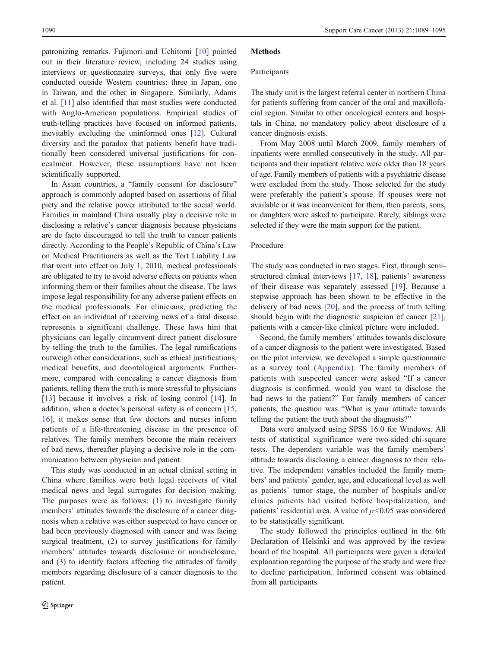patronizing remarks. Fujimori and Uchitomi [[10\]](#page-5-0) pointed out in their literature review, including 24 studies using interviews or questionnaire surveys, that only five were conducted outside Western countries: three in Japan, one in Taiwan, and the other in Singapore. Similarly, Adams et al. [[11](#page-5-0)] also identified that most studies were conducted with Anglo-American populations. Empirical studies of truth-telling practices have focused on informed patients, inevitably excluding the uninformed ones [[12\]](#page-5-0). Cultural diversity and the paradox that patients benefit have traditionally been considered universal justifications for concealment. However, these assumptions have not been scientifically supported.

In Asian countries, a "family consent for disclosure" approach is commonly adopted based on assertions of filial piety and the relative power attributed to the social world. Families in mainland China usually play a decisive role in disclosing a relative's cancer diagnosis because physicians are de facto discouraged to tell the truth to cancer patients directly. According to the People's Republic of China's Law on Medical Practitioners as well as the Tort Liability Law that went into effect on July 1, 2010, medical professionals are obligated to try to avoid adverse effects on patients when informing them or their families about the disease. The laws impose legal responsibility for any adverse patient effects on the medical professionals. For clinicians, predicting the effect on an individual of receiving news of a fatal disease represents a significant challenge. These laws hint that physicians can legally circumvent direct patient disclosure by telling the truth to the families. The legal ramifications outweigh other considerations, such as ethical justifications, medical benefits, and deontological arguments. Furthermore, compared with concealing a cancer diagnosis from patients, telling them the truth is more stressful to physicians [\[13](#page-5-0)] because it involves a risk of losing control [[14\]](#page-5-0). In addition, when a doctor's personal safety is of concern [[15,](#page-5-0) [16](#page-5-0)], it makes sense that few doctors and nurses inform patients of a life-threatening disease in the presence of relatives. The family members become the main receivers of bad news, thereafter playing a decisive role in the communication between physician and patient.

This study was conducted in an actual clinical setting in China where families were both legal receivers of vital medical news and legal surrogates for decision making. The purposes were as follows: (1) to investigate family members' attitudes towards the disclosure of a cancer diagnosis when a relative was either suspected to have cancer or had been previously diagnosed with cancer and was facing surgical treatment, (2) to survey justifications for family members' attitudes towards disclosure or nondisclosure, and (3) to identify factors affecting the attitudes of family members regarding disclosure of a cancer diagnosis to the patient.

# **Methods**

### Participants

The study unit is the largest referral center in northern China for patients suffering from cancer of the oral and maxillofacial region. Similar to other oncological centers and hospitals in China, no mandatory policy about disclosure of a cancer diagnosis exists.

From May 2008 until March 2009, family members of inpatients were enrolled consecutively in the study. All participants and their inpatient relative were older than 18 years of age. Family members of patients with a psychiatric disease were excluded from the study. Those selected for the study were preferably the patient's spouse. If spouses were not available or it was inconvenient for them, then parents, sons, or daughters were asked to participate. Rarely, siblings were selected if they were the main support for the patient.

#### Procedure

The study was conducted in two stages. First, through semistructured clinical interviews [\[17](#page-5-0), [18](#page-6-0)], patients' awareness of their disease was separately assessed [[19\]](#page-6-0). Because a stepwise approach has been shown to be effective in the delivery of bad news [[20\]](#page-6-0), and the process of truth telling should begin with the diagnostic suspicion of cancer [[21\]](#page-6-0), patients with a cancer-like clinical picture were included.

Second, the family members' attitudes towards disclosure of a cancer diagnosis to the patient were investigated. Based on the pilot interview, we developed a simple questionnaire as a survey tool ([Appendix](#page-5-0)). The family members of patients with suspected cancer were asked "If a cancer diagnosis is confirmed, would you want to disclose the bad news to the patient?" For family members of cancer patients, the question was "What is your attitude towards telling the patient the truth about the diagnosis?"

Data were analyzed using SPSS 16.0 for Windows. All tests of statistical significance were two-sided chi-square tests. The dependent variable was the family members' attitude towards disclosing a cancer diagnosis to their relative. The independent variables included the family members' and patients' gender, age, and educational level as well as patients' tumor stage, the number of hospitals and/or clinics patients had visited before hospitalization, and patients' residential area. A value of  $p<0.05$  was considered to be statistically significant.

The study followed the principles outlined in the 6th Declaration of Helsinki and was approved by the review board of the hospital. All participants were given a detailed explanation regarding the purpose of the study and were free to decline participation. Informed consent was obtained from all participants.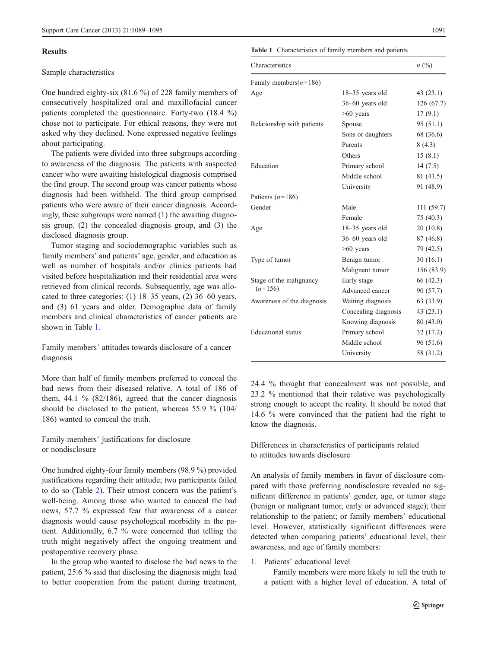#### Results

# Sample characteristics

One hundred eighty-six (81.6 %) of 228 family members of consecutively hospitalized oral and maxillofacial cancer patients completed the questionnaire. Forty-two (18.4 %) chose not to participate. For ethical reasons, they were not asked why they declined. None expressed negative feelings about participating.

The patients were divided into three subgroups according to awareness of the diagnosis. The patients with suspected cancer who were awaiting histological diagnosis comprised the first group. The second group was cancer patients whose diagnosis had been withheld. The third group comprised patients who were aware of their cancer diagnosis. Accordingly, these subgroups were named (1) the awaiting diagnosis group, (2) the concealed diagnosis group, and (3) the disclosed diagnosis group.

Tumor staging and sociodemographic variables such as family members' and patients' age, gender, and education as well as number of hospitals and/or clinics patients had visited before hospitalization and their residential area were retrieved from clinical records. Subsequently, age was allocated to three categories: (1) 18–35 years, (2) 36–60 years, and (3) 61 years and older. Demographic data of family members and clinical characteristics of cancer patients are shown in Table 1.

Family members' attitudes towards disclosure of a cancer diagnosis

More than half of family members preferred to conceal the bad news from their diseased relative. A total of 186 of them,  $44.1\%$  (82/186), agreed that the cancer diagnosis should be disclosed to the patient, whereas 55.9 % (104/ 186) wanted to conceal the truth.

Family members' justifications for disclosure or nondisclosure

One hundred eighty-four family members (98.9 %) provided justifications regarding their attitude; two participants failed to do so (Table [2\)](#page-3-0). Their utmost concern was the patient's well-being. Among those who wanted to conceal the bad news, 57.7 % expressed fear that awareness of a cancer diagnosis would cause psychological morbidity in the patient. Additionally, 6.7 % were concerned that telling the truth might negatively affect the ongoing treatment and postoperative recovery phase.

In the group who wanted to disclose the bad news to the patient, 25.6 % said that disclosing the diagnosis might lead to better cooperation from the patient during treatment,

#### Table 1 Characteristics of family members and patients

| Characteristics            |                      | n (%)      |  |  |
|----------------------------|----------------------|------------|--|--|
| Family members( $n=186$ )  |                      |            |  |  |
| Age                        | $18-35$ years old    | 43(23.1)   |  |  |
|                            | $36-60$ years old    | 126 (67.7) |  |  |
|                            | $>60$ years          | 17(9.1)    |  |  |
| Relationship with patients | Spouse               | 95 (51.1)  |  |  |
|                            | Sons or daughters    | 68 (36.6)  |  |  |
|                            | Parents              | 8(4.3)     |  |  |
|                            | Others               | 15(8.1)    |  |  |
| Education                  | Primary school       | 14(7.5)    |  |  |
|                            | Middle school        | 81 (43.5)  |  |  |
|                            | University           | 91 (48.9)  |  |  |
| Patients $(n=186)$         |                      |            |  |  |
| Gender                     | Male                 | 111 (59.7) |  |  |
|                            | Female               | 75 (40.3)  |  |  |
| Age                        | 18-35 years old      | 20(10.8)   |  |  |
|                            | 36-60 years old      | 87 (46.8)  |  |  |
|                            | $>60$ years          | 79 (42.5)  |  |  |
| Type of tumor              | Benign tumor         | 30(16.1)   |  |  |
|                            | Malignant tumor      | 156 (83.9) |  |  |
| Stage of the malignancy    | Early stage          | 66 (42.3)  |  |  |
| $(n=156)$                  | Advanced cancer      | 90 (57.7)  |  |  |
| Awareness of the diagnosis | Waiting diagnosis    | 63 (33.9)  |  |  |
|                            | Concealing diagnosis | 43(23.1)   |  |  |
|                            | Knowing diagnosis    | 80 (43.0)  |  |  |
| Educational status         | Primary school       | 32 (17.2)  |  |  |
|                            | Middle school        | 96 (51.6)  |  |  |
|                            | University           | 58 (31.2)  |  |  |

24.4 % thought that concealment was not possible, and 23.2 % mentioned that their relative was psychologically strong enough to accept the reality. It should be noted that 14.6 % were convinced that the patient had the right to know the diagnosis.

Differences in characteristics of participants related to attitudes towards disclosure

An analysis of family members in favor of disclosure compared with those preferring nondisclosure revealed no significant difference in patients' gender, age, or tumor stage (benign or malignant tumor, early or advanced stage); their relationship to the patient; or family members' educational level. However, statistically significant differences were detected when comparing patients' educational level, their awareness, and age of family members:

1. Patients' educational level

Family members were more likely to tell the truth to a patient with a higher level of education. A total of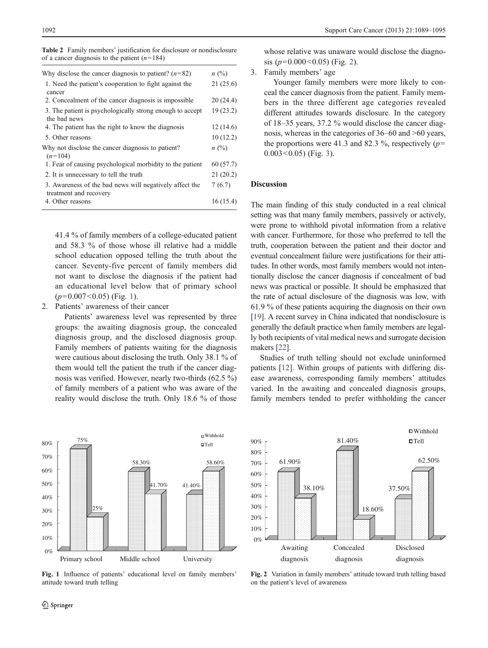<span id="page-3-0"></span>

| <b>Table 2</b> Family members' justification for disclosure or nondisclosure |  |  |  |
|------------------------------------------------------------------------------|--|--|--|
| of a cancer diagnosis to the patient $(n=184)$                               |  |  |  |

| Why disclose the cancer diagnosis to patient? $(n=82)$                            | $n \ (\%)$ |
|-----------------------------------------------------------------------------------|------------|
| 1. Need the patient's cooperation to fight against the<br>cancer                  | 21(25.6)   |
| 2. Concealment of the cancer diagnosis is impossible.                             | 20(24.4)   |
| 3. The patient is psychologically strong enough to accept<br>the bad news         | 19(23.2)   |
| 4. The patient has the right to know the diagnosis                                | 12(14.6)   |
| 5. Other reasons                                                                  | 10(12.2)   |
| Why not disclose the cancer diagnosis to patient?<br>$(n=104)$                    | n(%)       |
| 1. Fear of causing psychological morbidity to the patient                         | 60(57.7)   |
| 2. It is unnecessary to tell the truth                                            | 21(20.2)   |
| 3. Awareness of the bad news will negatively affect the<br>treatment and recovery | 7(6.7)     |
| 4. Other reasons                                                                  | 16(15.4)   |

41.4 % of family members of a college-educated patient and 58.3 % of those whose ill relative had a middle school education opposed telling the truth about the cancer. Seventy-five percent of family members did not want to disclose the diagnosis if the patient had an educational level below that of primary school  $(p=0.007<0.05)$  (Fig. 1).

## 2. Patients' awareness of their cancer

Patients' awareness level was represented by three groups: the awaiting diagnosis group, the concealed diagnosis group, and the disclosed diagnosis group. Family members of patients waiting for the diagnosis were cautious about disclosing the truth. Only 38.1 % of them would tell the patient the truth if the cancer diagnosis was verified. However, nearly two-thirds (62.5 %) of family members of a patient who was aware of the reality would disclose the truth. Only 18.6 % of those



Fig. 1 Influence of patients' educational level on family members' attitude toward truth telling

whose relative was unaware would disclose the diagnosis ( $p=0.000<0.05$ ) (Fig. 2).

3. Family members' age

Younger family members were more likely to conceal the cancer diagnosis from the patient. Family members in the three different age categories revealed different attitudes towards disclosure. In the category of 18–35 years, 37.2 % would disclose the cancer diagnosis, whereas in the categories of 36–60 and >60 years, the proportions were 41.3 and 82.3 %, respectively  $(p=$  $0.003 < 0.05$ ) (Fig. [3\)](#page-4-0).

# Discussion

The main finding of this study conducted in a real clinical setting was that many family members, passively or actively, were prone to withhold pivotal information from a relative with cancer. Furthermore, for those who preferred to tell the truth, cooperation between the patient and their doctor and eventual concealment failure were justifications for their attitudes. In other words, most family members would not intentionally disclose the cancer diagnosis if concealment of bad news was practical or possible. It should be emphasized that the rate of actual disclosure of the diagnosis was low, with 61.9 % of these patients acquiring the diagnosis on their own [\[19](#page-6-0)]. A recent survey in China indicated that nondisclosure is generally the default practice when family members are legally both recipients of vital medical news and surrogate decision makers [[22\]](#page-6-0).

Studies of truth telling should not exclude uninformed patients [[12\]](#page-5-0). Within groups of patients with differing disease awareness, corresponding family members' attitudes varied. In the awaiting and concealed diagnosis groups, family members tended to prefer withholding the cancer



Fig. 2 Variation in family members' attitude toward truth telling based on the patient's level of awareness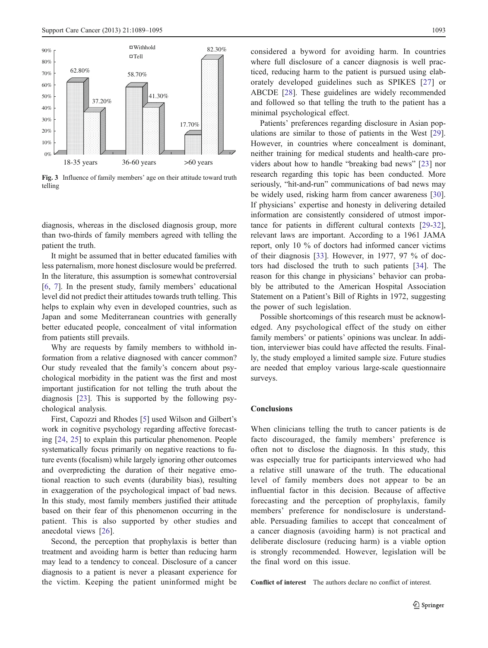<span id="page-4-0"></span>

Fig. 3 Influence of family members' age on their attitude toward truth telling

diagnosis, whereas in the disclosed diagnosis group, more than two-thirds of family members agreed with telling the patient the truth.

It might be assumed that in better educated families with less paternalism, more honest disclosure would be preferred. In the literature, this assumption is somewhat controversial [\[6](#page-5-0), [7\]](#page-5-0). In the present study, family members' educational level did not predict their attitudes towards truth telling. This helps to explain why even in developed countries, such as Japan and some Mediterranean countries with generally better educated people, concealment of vital information from patients still prevails.

Why are requests by family members to withhold information from a relative diagnosed with cancer common? Our study revealed that the family's concern about psychological morbidity in the patient was the first and most important justification for not telling the truth about the diagnosis [[23\]](#page-6-0). This is supported by the following psychological analysis.

First, Capozzi and Rhodes [\[5](#page-5-0)] used Wilson and Gilbert's work in cognitive psychology regarding affective forecasting [\[24](#page-6-0), [25](#page-6-0)] to explain this particular phenomenon. People systematically focus primarily on negative reactions to future events (focalism) while largely ignoring other outcomes and overpredicting the duration of their negative emotional reaction to such events (durability bias), resulting in exaggeration of the psychological impact of bad news. In this study, most family members justified their attitude based on their fear of this phenomenon occurring in the patient. This is also supported by other studies and anecdotal views [\[26](#page-6-0)].

Second, the perception that prophylaxis is better than treatment and avoiding harm is better than reducing harm may lead to a tendency to conceal. Disclosure of a cancer diagnosis to a patient is never a pleasant experience for the victim. Keeping the patient uninformed might be considered a byword for avoiding harm. In countries where full disclosure of a cancer diagnosis is well practiced, reducing harm to the patient is pursued using elaborately developed guidelines such as SPIKES [[27\]](#page-6-0) or ABCDE [\[28](#page-6-0)]. These guidelines are widely recommended and followed so that telling the truth to the patient has a minimal psychological effect.

Patients' preferences regarding disclosure in Asian populations are similar to those of patients in the West [[29\]](#page-6-0). However, in countries where concealment is dominant, neither training for medical students and health-care providers about how to handle "breaking bad news" [\[23](#page-6-0)] nor research regarding this topic has been conducted. More seriously, "hit-and-run" communications of bad news may be widely used, risking harm from cancer awareness [[30\]](#page-6-0). If physicians' expertise and honesty in delivering detailed information are consistently considered of utmost importance for patients in different cultural contexts [\[29](#page-6-0)-[32\]](#page-6-0), relevant laws are important. According to a 1961 JAMA report, only 10 % of doctors had informed cancer victims of their diagnosis [[33\]](#page-6-0). However, in 1977, 97 % of doctors had disclosed the truth to such patients [[34\]](#page-6-0). The reason for this change in physicians' behavior can probably be attributed to the American Hospital Association Statement on a Patient's Bill of Rights in 1972, suggesting the power of such legislation.

Possible shortcomings of this research must be acknowledged. Any psychological effect of the study on either family members' or patients' opinions was unclear. In addition, interviewer bias could have affected the results. Finally, the study employed a limited sample size. Future studies are needed that employ various large-scale questionnaire surveys.

# Conclusions

When clinicians telling the truth to cancer patients is de facto discouraged, the family members' preference is often not to disclose the diagnosis. In this study, this was especially true for participants interviewed who had a relative still unaware of the truth. The educational level of family members does not appear to be an influential factor in this decision. Because of affective forecasting and the perception of prophylaxis, family members' preference for nondisclosure is understandable. Persuading families to accept that concealment of a cancer diagnosis (avoiding harm) is not practical and deliberate disclosure (reducing harm) is a viable option is strongly recommended. However, legislation will be the final word on this issue.

Conflict of interest The authors declare no conflict of interest.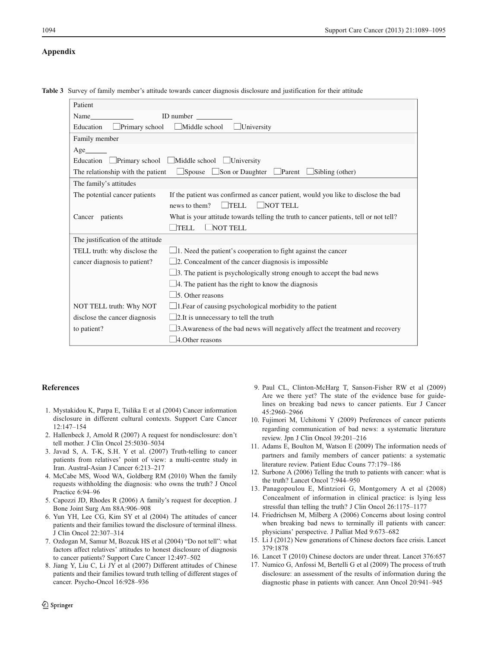## <span id="page-5-0"></span>Appendix

|  |  |  |  |  |  |  |  |  |  | Table 3 Survey of family member's attitude towards cancer diagnosis disclosure and justification for their attitude |  |  |  |  |
|--|--|--|--|--|--|--|--|--|--|---------------------------------------------------------------------------------------------------------------------|--|--|--|--|
|--|--|--|--|--|--|--|--|--|--|---------------------------------------------------------------------------------------------------------------------|--|--|--|--|

| Patient                           |                                                                                        |
|-----------------------------------|----------------------------------------------------------------------------------------|
| Name                              | ID number                                                                              |
| Primary school<br>Education       | $\Box$ Middle school<br>University                                                     |
| Family member                     |                                                                                        |
| Age                               |                                                                                        |
| Education                         | $\Box$ Primary school $\Box$ Middle school $\Box$ University                           |
| The relationship with the patient | $\Box$ Spouse $\Box$<br>$\Box$ Son or Daughter $\Box$ Parent<br>$\Box$ Sibling (other) |
| The family's attitudes            |                                                                                        |
| The potential cancer patients     | If the patient was confirmed as cancer patient, would you like to disclose the bad     |
|                                   | $\Box$ TELL<br>$\Box$ NOT TELL<br>news to them?                                        |
| Cancer patients                   | What is your attitude towards telling the truth to cancer patients, tell or not tell?  |
|                                   | NOT TELL<br><b>TELL</b>                                                                |
| The justification of the attitude |                                                                                        |
| TELL truth: why disclose the      | $\Box$ 1. Need the patient's cooperation to fight against the cancer                   |
| cancer diagnosis to patient?      | $\Box$ 2. Concealment of the cancer diagnosis is impossible                            |
|                                   | $\Box$ 3. The patient is psychologically strong enough to accept the bad news          |
|                                   | $\Box$ 4. The patient has the right to know the diagnosis                              |
|                                   | $\Box$ 5. Other reasons                                                                |
| NOT TELL truth: Why NOT           | $\Box$ 1. Fear of causing psychological morbidity to the patient                       |
| disclose the cancer diagnosis     | $\Box$ 2. It is unnecessary to tell the truth                                          |
| to patient?                       | $\Box$ 3. Awareness of the bad news will negatively affect the treatment and recovery  |
|                                   | $\Box$ 4. Other reasons                                                                |

#### References

- 1. Mystakidou K, Parpa E, Tsilika E et al (2004) Cancer information disclosure in different cultural contexts. Support Care Cancer 12:147–154
- 2. Hallenbeck J, Arnold R (2007) A request for nondisclosure: don't tell mother. J Clin Oncol 25:5030–5034
- 3. Javad S, A. T-K, S.H. Y et al. (2007) Truth-telling to cancer patients from relatives' point of view: a multi-centre study in Iran. Austral-Asian J Cancer 6:213–217
- 4. McCabe MS, Wood WA, Goldberg RM (2010) When the family requests withholding the diagnosis: who owns the truth? J Oncol Practice 6:94–96
- 5. Capozzi JD, Rhodes R (2006) A family's request for deception. J Bone Joint Surg Am 88A:906–908
- 6. Yun YH, Lee CG, Kim SY et al (2004) The attitudes of cancer patients and their families toward the disclosure of terminal illness. J Clin Oncol 22:307–314
- 7. Ozdogan M, Samur M, Bozcuk HS et al (2004) "Do not tell": what factors affect relatives' attitudes to honest disclosure of diagnosis to cancer patients? Support Care Cancer 12:497–502
- 8. Jiang Y, Liu C, Li JY et al (2007) Different attitudes of Chinese patients and their families toward truth telling of different stages of cancer. Psycho-Oncol 16:928–936
- 9. Paul CL, Clinton-McHarg T, Sanson-Fisher RW et al (2009) Are we there yet? The state of the evidence base for guidelines on breaking bad news to cancer patients. Eur J Cancer 45:2960–2966
- 10. Fujimori M, Uchitomi Y (2009) Preferences of cancer patients regarding communication of bad news: a systematic literature review. Jpn J Clin Oncol 39:201–216
- 11. Adams E, Boulton M, Watson E (2009) The information needs of partners and family members of cancer patients: a systematic literature review. Patient Educ Couns 77:179–186
- 12. Surbone A (2006) Telling the truth to patients with cancer: what is the truth? Lancet Oncol 7:944–950
- 13. Panagopoulou E, Mintziori G, Montgomery A et al (2008) Concealment of information in clinical practice: is lying less stressful than telling the truth? J Clin Oncol 26:1175–1177
- 14. Friedrichsen M, Milberg A (2006) Concerns about losing control when breaking bad news to terminally ill patients with cancer: physicians' perspective. J Palliat Med 9:673–682
- 15. Li J (2012) New generations of Chinese doctors face crisis. Lancet 379:1878
- 16. Lancet T (2010) Chinese doctors are under threat. Lancet 376:657
- 17. Numico G, Anfossi M, Bertelli G et al (2009) The process of truth disclosure: an assessment of the results of information during the diagnostic phase in patients with cancer. Ann Oncol 20:941–945